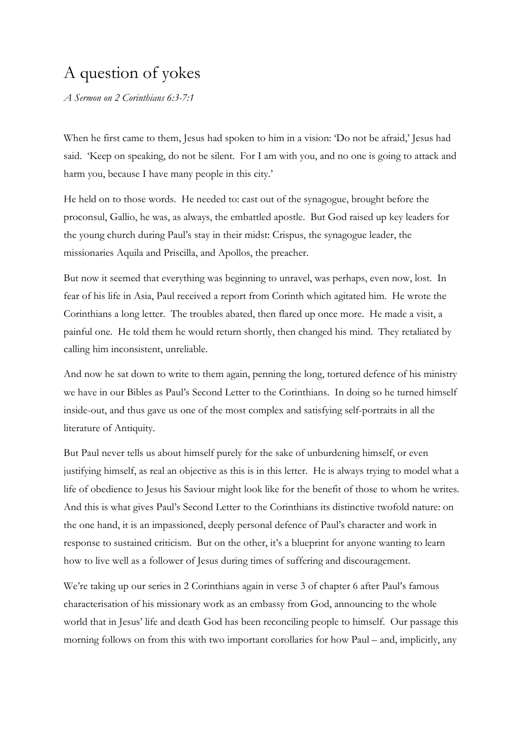# A question of yokes

*A Sermon on 2 Corinthians 6:3-7:1*

When he first came to them, Jesus had spoken to him in a vision: 'Do not be afraid,' Jesus had said. 'Keep on speaking, do not be silent. For I am with you, and no one is going to attack and harm you, because I have many people in this city.'

He held on to those words. He needed to: cast out of the synagogue, brought before the proconsul, Gallio, he was, as always, the embattled apostle. But God raised up key leaders for the young church during Paul's stay in their midst: Crispus, the synagogue leader, the missionaries Aquila and Priscilla, and Apollos, the preacher.

But now it seemed that everything was beginning to unravel, was perhaps, even now, lost. In fear of his life in Asia, Paul received a report from Corinth which agitated him. He wrote the Corinthians a long letter. The troubles abated, then flared up once more. He made a visit, a painful one. He told them he would return shortly, then changed his mind. They retaliated by calling him inconsistent, unreliable.

And now he sat down to write to them again, penning the long, tortured defence of his ministry we have in our Bibles as Paul's Second Letter to the Corinthians. In doing so he turned himself inside-out, and thus gave us one of the most complex and satisfying self-portraits in all the literature of Antiquity.

But Paul never tells us about himself purely for the sake of unburdening himself, or even justifying himself, as real an objective as this is in this letter. He is always trying to model what a life of obedience to Jesus his Saviour might look like for the benefit of those to whom he writes. And this is what gives Paul's Second Letter to the Corinthians its distinctive twofold nature: on the one hand, it is an impassioned, deeply personal defence of Paul's character and work in response to sustained criticism. But on the other, it's a blueprint for anyone wanting to learn how to live well as a follower of Jesus during times of suffering and discouragement.

We're taking up our series in 2 Corinthians again in verse 3 of chapter 6 after Paul's famous characterisation of his missionary work as an embassy from God, announcing to the whole world that in Jesus' life and death God has been reconciling people to himself. Our passage this morning follows on from this with two important corollaries for how Paul – and, implicitly, any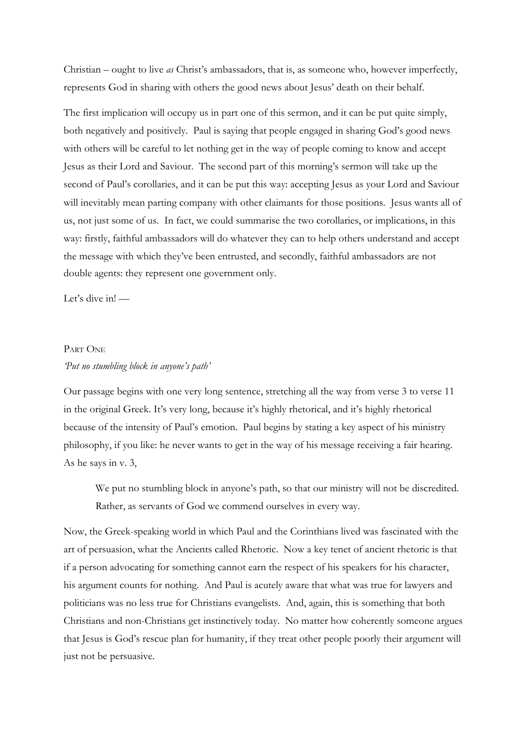Christian – ought to live *as* Christ's ambassadors, that is, as someone who, however imperfectly, represents God in sharing with others the good news about Jesus' death on their behalf.

The first implication will occupy us in part one of this sermon, and it can be put quite simply, both negatively and positively. Paul is saying that people engaged in sharing God's good news with others will be careful to let nothing get in the way of people coming to know and accept Jesus as their Lord and Saviour. The second part of this morning's sermon will take up the second of Paul's corollaries, and it can be put this way: accepting Jesus as your Lord and Saviour will inevitably mean parting company with other claimants for those positions. Jesus wants all of us, not just some of us. In fact, we could summarise the two corollaries, or implications, in this way: firstly, faithful ambassadors will do whatever they can to help others understand and accept the message with which they've been entrusted, and secondly, faithful ambassadors are not double agents: they represent one government only.

Let's dive in! -

## PART ONE

#### *'Put no stumbling block in anyone's path'*

Our passage begins with one very long sentence, stretching all the way from verse 3 to verse 11 in the original Greek. It's very long, because it's highly rhetorical, and it's highly rhetorical because of the intensity of Paul's emotion. Paul begins by stating a key aspect of his ministry philosophy, if you like: he never wants to get in the way of his message receiving a fair hearing. As he says in v. 3,

We put no stumbling block in anyone's path, so that our ministry will not be discredited. Rather, as servants of God we commend ourselves in every way.

Now, the Greek-speaking world in which Paul and the Corinthians lived was fascinated with the art of persuasion, what the Ancients called Rhetoric. Now a key tenet of ancient rhetoric is that if a person advocating for something cannot earn the respect of his speakers for his character, his argument counts for nothing. And Paul is acutely aware that what was true for lawyers and politicians was no less true for Christians evangelists. And, again, this is something that both Christians and non-Christians get instinctively today. No matter how coherently someone argues that Jesus is God's rescue plan for humanity, if they treat other people poorly their argument will just not be persuasive.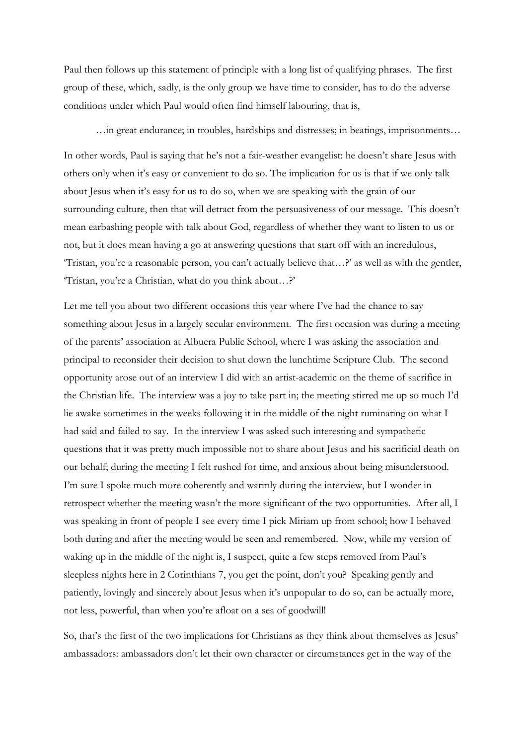Paul then follows up this statement of principle with a long list of qualifying phrases. The first group of these, which, sadly, is the only group we have time to consider, has to do the adverse conditions under which Paul would often find himself labouring, that is,

…in great endurance; in troubles, hardships and distresses; in beatings, imprisonments…

In other words, Paul is saying that he's not a fair-weather evangelist: he doesn't share Jesus with others only when it's easy or convenient to do so. The implication for us is that if we only talk about Jesus when it's easy for us to do so, when we are speaking with the grain of our surrounding culture, then that will detract from the persuasiveness of our message. This doesn't mean earbashing people with talk about God, regardless of whether they want to listen to us or not, but it does mean having a go at answering questions that start off with an incredulous, 'Tristan, you're a reasonable person, you can't actually believe that…?' as well as with the gentler, 'Tristan, you're a Christian, what do you think about…?'

Let me tell you about two different occasions this year where I've had the chance to say something about Jesus in a largely secular environment. The first occasion was during a meeting of the parents' association at Albuera Public School, where I was asking the association and principal to reconsider their decision to shut down the lunchtime Scripture Club. The second opportunity arose out of an interview I did with an artist-academic on the theme of sacrifice in the Christian life. The interview was a joy to take part in; the meeting stirred me up so much I'd lie awake sometimes in the weeks following it in the middle of the night ruminating on what I had said and failed to say. In the interview I was asked such interesting and sympathetic questions that it was pretty much impossible not to share about Jesus and his sacrificial death on our behalf; during the meeting I felt rushed for time, and anxious about being misunderstood. I'm sure I spoke much more coherently and warmly during the interview, but I wonder in retrospect whether the meeting wasn't the more significant of the two opportunities. After all, I was speaking in front of people I see every time I pick Miriam up from school; how I behaved both during and after the meeting would be seen and remembered. Now, while my version of waking up in the middle of the night is, I suspect, quite a few steps removed from Paul's sleepless nights here in 2 Corinthians 7, you get the point, don't you? Speaking gently and patiently, lovingly and sincerely about Jesus when it's unpopular to do so, can be actually more, not less, powerful, than when you're afloat on a sea of goodwill!

So, that's the first of the two implications for Christians as they think about themselves as Jesus' ambassadors: ambassadors don't let their own character or circumstances get in the way of the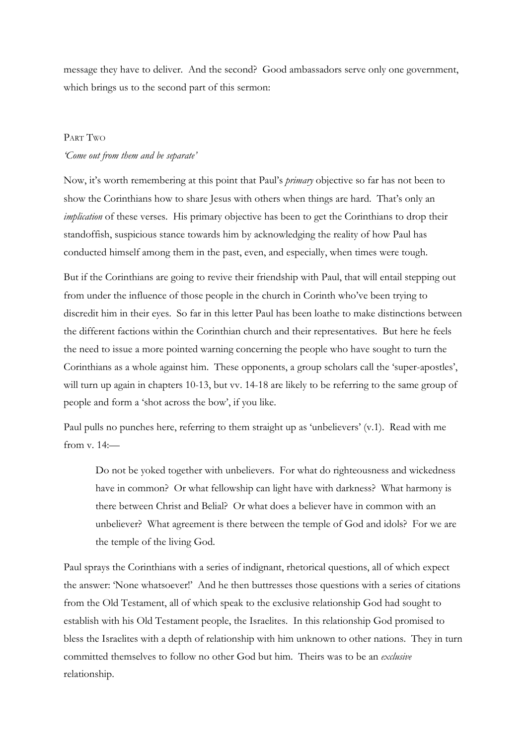message they have to deliver. And the second? Good ambassadors serve only one government, which brings us to the second part of this sermon:

### PART TWO

# *'Come out from them and be separate'*

Now, it's worth remembering at this point that Paul's *primary* objective so far has not been to show the Corinthians how to share Jesus with others when things are hard. That's only an *implication* of these verses. His primary objective has been to get the Corinthians to drop their standoffish, suspicious stance towards him by acknowledging the reality of how Paul has conducted himself among them in the past, even, and especially, when times were tough.

But if the Corinthians are going to revive their friendship with Paul, that will entail stepping out from under the influence of those people in the church in Corinth who've been trying to discredit him in their eyes. So far in this letter Paul has been loathe to make distinctions between the different factions within the Corinthian church and their representatives. But here he feels the need to issue a more pointed warning concerning the people who have sought to turn the Corinthians as a whole against him. These opponents, a group scholars call the 'super-apostles', will turn up again in chapters 10-13, but vv. 14-18 are likely to be referring to the same group of people and form a 'shot across the bow', if you like.

Paul pulls no punches here, referring to them straight up as 'unbelievers' (v.1). Read with me from v. 14:—

Do not be yoked together with unbelievers. For what do righteousness and wickedness have in common? Or what fellowship can light have with darkness? What harmony is there between Christ and Belial? Or what does a believer have in common with an unbeliever? What agreement is there between the temple of God and idols? For we are the temple of the living God.

Paul sprays the Corinthians with a series of indignant, rhetorical questions, all of which expect the answer: 'None whatsoever!' And he then buttresses those questions with a series of citations from the Old Testament, all of which speak to the exclusive relationship God had sought to establish with his Old Testament people, the Israelites. In this relationship God promised to bless the Israelites with a depth of relationship with him unknown to other nations. They in turn committed themselves to follow no other God but him. Theirs was to be an *exclusive* relationship.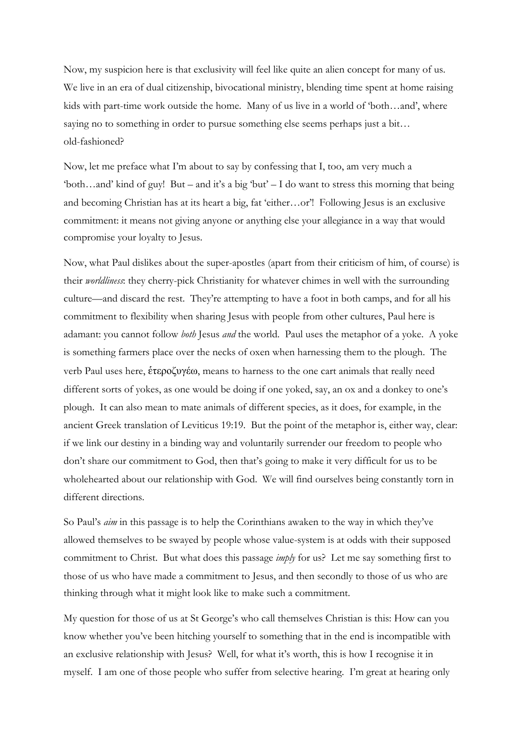Now, my suspicion here is that exclusivity will feel like quite an alien concept for many of us. We live in an era of dual citizenship, bivocational ministry, blending time spent at home raising kids with part-time work outside the home. Many of us live in a world of 'both…and', where saying no to something in order to pursue something else seems perhaps just a bit... old-fashioned?

Now, let me preface what I'm about to say by confessing that I, too, am very much a 'both…and' kind of guy! But – and it's a big 'but' – I do want to stress this morning that being and becoming Christian has at its heart a big, fat 'either…or'! Following Jesus is an exclusive commitment: it means not giving anyone or anything else your allegiance in a way that would compromise your loyalty to Jesus.

Now, what Paul dislikes about the super-apostles (apart from their criticism of him, of course) is their *worldliness*: they cherry-pick Christianity for whatever chimes in well with the surrounding culture—and discard the rest. They're attempting to have a foot in both camps, and for all his commitment to flexibility when sharing Jesus with people from other cultures, Paul here is adamant: you cannot follow *both* Jesus *and* the world. Paul uses the metaphor of a yoke. A yoke is something farmers place over the necks of oxen when harnessing them to the plough. The verb Paul uses here, έτεροζυγέω, means to harness to the one cart animals that really need different sorts of yokes, as one would be doing if one yoked, say, an ox and a donkey to one's plough. It can also mean to mate animals of different species, as it does, for example, in the ancient Greek translation of Leviticus 19:19. But the point of the metaphor is, either way, clear: if we link our destiny in a binding way and voluntarily surrender our freedom to people who don't share our commitment to God, then that's going to make it very difficult for us to be wholehearted about our relationship with God. We will find ourselves being constantly torn in different directions.

So Paul's *aim* in this passage is to help the Corinthians awaken to the way in which they've allowed themselves to be swayed by people whose value-system is at odds with their supposed commitment to Christ. But what does this passage *imply* for us? Let me say something first to those of us who have made a commitment to Jesus, and then secondly to those of us who are thinking through what it might look like to make such a commitment.

My question for those of us at St George's who call themselves Christian is this: How can you know whether you've been hitching yourself to something that in the end is incompatible with an exclusive relationship with Jesus? Well, for what it's worth, this is how I recognise it in myself. I am one of those people who suffer from selective hearing. I'm great at hearing only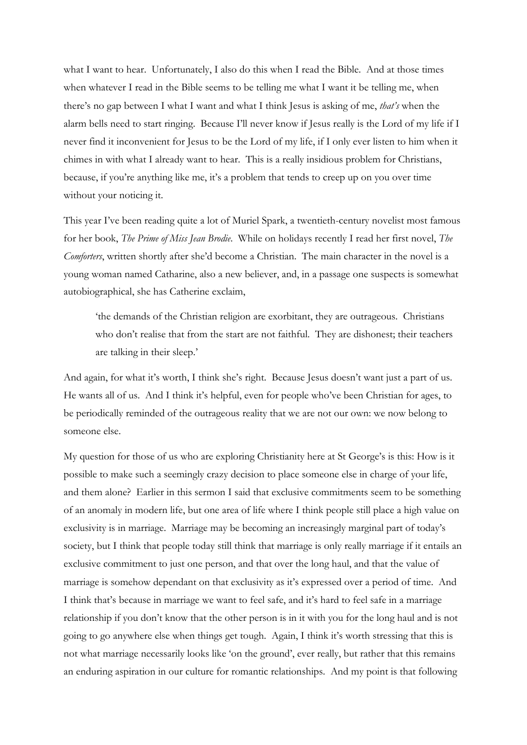what I want to hear. Unfortunately, I also do this when I read the Bible. And at those times when whatever I read in the Bible seems to be telling me what I want it be telling me, when there's no gap between I what I want and what I think Jesus is asking of me, *that's* when the alarm bells need to start ringing. Because I'll never know if Jesus really is the Lord of my life if I never find it inconvenient for Jesus to be the Lord of my life, if I only ever listen to him when it chimes in with what I already want to hear. This is a really insidious problem for Christians, because, if you're anything like me, it's a problem that tends to creep up on you over time without your noticing it.

This year I've been reading quite a lot of Muriel Spark, a twentieth-century novelist most famous for her book, *The Prime of Miss Jean Brodie*. While on holidays recently I read her first novel, *The Comforters*, written shortly after she'd become a Christian. The main character in the novel is a young woman named Catharine, also a new believer, and, in a passage one suspects is somewhat autobiographical, she has Catherine exclaim,

'the demands of the Christian religion are exorbitant, they are outrageous. Christians who don't realise that from the start are not faithful. They are dishonest; their teachers are talking in their sleep.'

And again, for what it's worth, I think she's right. Because Jesus doesn't want just a part of us. He wants all of us. And I think it's helpful, even for people who've been Christian for ages, to be periodically reminded of the outrageous reality that we are not our own: we now belong to someone else.

My question for those of us who are exploring Christianity here at St George's is this: How is it possible to make such a seemingly crazy decision to place someone else in charge of your life, and them alone? Earlier in this sermon I said that exclusive commitments seem to be something of an anomaly in modern life, but one area of life where I think people still place a high value on exclusivity is in marriage. Marriage may be becoming an increasingly marginal part of today's society, but I think that people today still think that marriage is only really marriage if it entails an exclusive commitment to just one person, and that over the long haul, and that the value of marriage is somehow dependant on that exclusivity as it's expressed over a period of time. And I think that's because in marriage we want to feel safe, and it's hard to feel safe in a marriage relationship if you don't know that the other person is in it with you for the long haul and is not going to go anywhere else when things get tough. Again, I think it's worth stressing that this is not what marriage necessarily looks like 'on the ground', ever really, but rather that this remains an enduring aspiration in our culture for romantic relationships. And my point is that following